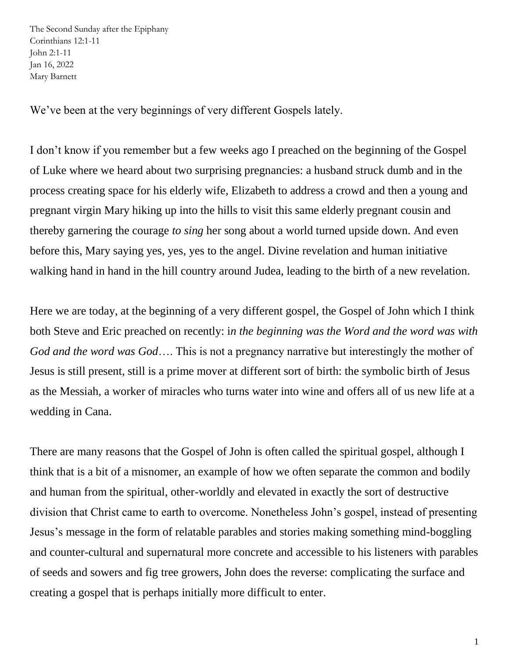The Second Sunday after the Epiphany Corinthians 12:1-11 John 2:1-11 Jan 16, 2022 Mary Barnett

We've been at the very beginnings of very different Gospels lately.

I don't know if you remember but a few weeks ago I preached on the beginning of the Gospel of Luke where we heard about two surprising pregnancies: a husband struck dumb and in the process creating space for his elderly wife, Elizabeth to address a crowd and then a young and pregnant virgin Mary hiking up into the hills to visit this same elderly pregnant cousin and thereby garnering the courage *to sing* her song about a world turned upside down. And even before this, Mary saying yes, yes, yes to the angel. Divine revelation and human initiative walking hand in hand in the hill country around Judea, leading to the birth of a new revelation.

Here we are today, at the beginning of a very different gospel, the Gospel of John which I think both Steve and Eric preached on recently: i*n the beginning was the Word and the word was with God and the word was God*…. This is not a pregnancy narrative but interestingly the mother of Jesus is still present, still is a prime mover at different sort of birth: the symbolic birth of Jesus as the Messiah, a worker of miracles who turns water into wine and offers all of us new life at a wedding in Cana.

There are many reasons that the Gospel of John is often called the spiritual gospel, although I think that is a bit of a misnomer, an example of how we often separate the common and bodily and human from the spiritual, other-worldly and elevated in exactly the sort of destructive division that Christ came to earth to overcome. Nonetheless John's gospel, instead of presenting Jesus's message in the form of relatable parables and stories making something mind-boggling and counter-cultural and supernatural more concrete and accessible to his listeners with parables of seeds and sowers and fig tree growers, John does the reverse: complicating the surface and creating a gospel that is perhaps initially more difficult to enter.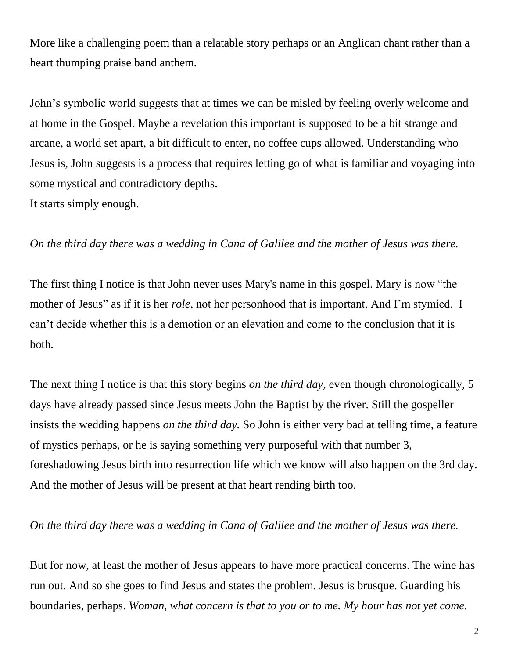More like a challenging poem than a relatable story perhaps or an Anglican chant rather than a heart thumping praise band anthem.

John's symbolic world suggests that at times we can be misled by feeling overly welcome and at home in the Gospel. Maybe a revelation this important is supposed to be a bit strange and arcane, a world set apart, a bit difficult to enter, no coffee cups allowed. Understanding who Jesus is, John suggests is a process that requires letting go of what is familiar and voyaging into some mystical and contradictory depths.

It starts simply enough.

## *On the third day there was a wedding in Cana of Galilee and the mother of Jesus was there.*

The first thing I notice is that John never uses Mary's name in this gospel. Mary is now "the mother of Jesus" as if it is her *role*, not her personhood that is important. And I'm stymied. I can't decide whether this is a demotion or an elevation and come to the conclusion that it is both.

The next thing I notice is that this story begins *on the third day,* even though chronologically, 5 days have already passed since Jesus meets John the Baptist by the river. Still the gospeller insists the wedding happens *on the third day.* So John is either very bad at telling time, a feature of mystics perhaps, or he is saying something very purposeful with that number 3, foreshadowing Jesus birth into resurrection life which we know will also happen on the 3rd day. And the mother of Jesus will be present at that heart rending birth too.

## *On the third day there was a wedding in Cana of Galilee and the mother of Jesus was there.*

But for now, at least the mother of Jesus appears to have more practical concerns. The wine has run out. And so she goes to find Jesus and states the problem. Jesus is brusque. Guarding his boundaries, perhaps. *Woman, what concern is that to you or to me. My hour has not yet come.*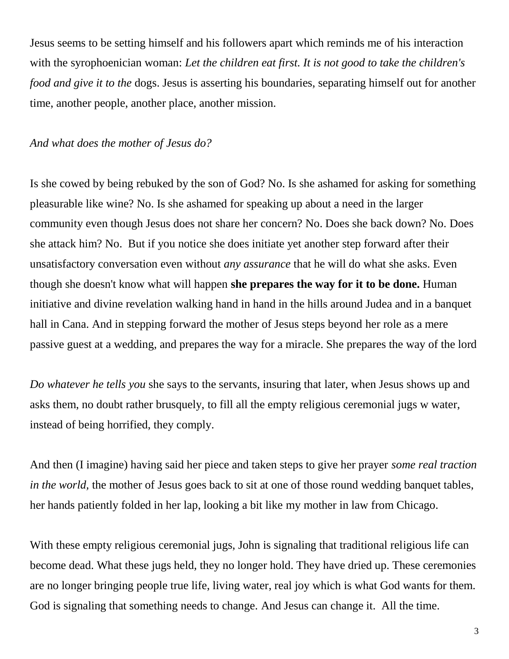Jesus seems to be setting himself and his followers apart which reminds me of his interaction with the syrophoenician woman: Let the children eat first. It is not good to take the children's *food and give it to the* dogs. Jesus is asserting his boundaries, separating himself out for another time, another people, another place, another mission.

## *And what does the mother of Jesus do?*

Is she cowed by being rebuked by the son of God? No. Is she ashamed for asking for something pleasurable like wine? No. Is she ashamed for speaking up about a need in the larger community even though Jesus does not share her concern? No. Does she back down? No. Does she attack him? No. But if you notice she does initiate yet another step forward after their unsatisfactory conversation even without *any assurance* that he will do what she asks. Even though she doesn't know what will happen **she prepares the way for it to be done.** Human initiative and divine revelation walking hand in hand in the hills around Judea and in a banquet hall in Cana. And in stepping forward the mother of Jesus steps beyond her role as a mere passive guest at a wedding, and prepares the way for a miracle. She prepares the way of the lord

*Do whatever he tells you* she says to the servants, insuring that later, when Jesus shows up and asks them, no doubt rather brusquely, to fill all the empty religious ceremonial jugs w water, instead of being horrified, they comply.

And then (I imagine) having said her piece and taken steps to give her prayer *some real traction in the world,* the mother of Jesus goes back to sit at one of those round wedding banquet tables, her hands patiently folded in her lap, looking a bit like my mother in law from Chicago.

With these empty religious ceremonial jugs, John is signaling that traditional religious life can become dead. What these jugs held, they no longer hold. They have dried up. These ceremonies are no longer bringing people true life, living water, real joy which is what God wants for them. God is signaling that something needs to change. And Jesus can change it. All the time.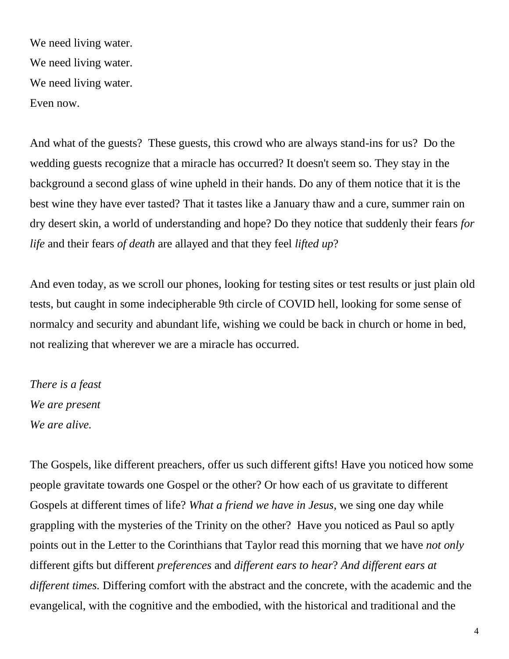We need living water. We need living water. We need living water. Even now.

And what of the guests? These guests, this crowd who are always stand-ins for us? Do the wedding guests recognize that a miracle has occurred? It doesn't seem so. They stay in the background a second glass of wine upheld in their hands. Do any of them notice that it is the best wine they have ever tasted? That it tastes like a January thaw and a cure, summer rain on dry desert skin, a world of understanding and hope? Do they notice that suddenly their fears *for life* and their fears *of death* are allayed and that they feel *lifted up*?

And even today, as we scroll our phones, looking for testing sites or test results or just plain old tests, but caught in some indecipherable 9th circle of COVID hell, looking for some sense of normalcy and security and abundant life, wishing we could be back in church or home in bed, not realizing that wherever we are a miracle has occurred.

*There is a feast We are present We are alive.*

The Gospels, like different preachers, offer us such different gifts! Have you noticed how some people gravitate towards one Gospel or the other? Or how each of us gravitate to different Gospels at different times of life? *What a friend we have in Jesus,* we sing one day while grappling with the mysteries of the Trinity on the other? Have you noticed as Paul so aptly points out in the Letter to the Corinthians that Taylor read this morning that we have *not only*  different gifts but different *preferences* and *different ears to hear*? *And different ears at different times.* Differing comfort with the abstract and the concrete, with the academic and the evangelical, with the cognitive and the embodied, with the historical and traditional and the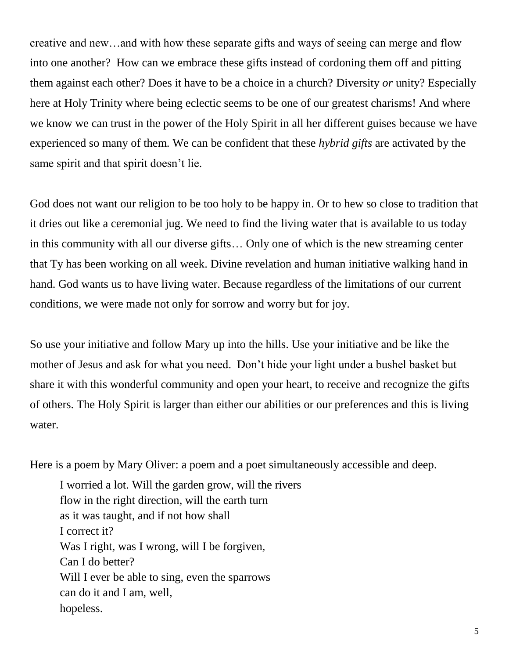creative and new…and with how these separate gifts and ways of seeing can merge and flow into one another? How can we embrace these gifts instead of cordoning them off and pitting them against each other? Does it have to be a choice in a church? Diversity *or* unity? Especially here at Holy Trinity where being eclectic seems to be one of our greatest charisms! And where we know we can trust in the power of the Holy Spirit in all her different guises because we have experienced so many of them. We can be confident that these *hybrid gifts* are activated by the same spirit and that spirit doesn't lie.

God does not want our religion to be too holy to be happy in. Or to hew so close to tradition that it dries out like a ceremonial jug. We need to find the living water that is available to us today in this community with all our diverse gifts… Only one of which is the new streaming center that Ty has been working on all week. Divine revelation and human initiative walking hand in hand. God wants us to have living water. Because regardless of the limitations of our current conditions, we were made not only for sorrow and worry but for joy.

So use your initiative and follow Mary up into the hills. Use your initiative and be like the mother of Jesus and ask for what you need. Don't hide your light under a bushel basket but share it with this wonderful community and open your heart, to receive and recognize the gifts of others. The Holy Spirit is larger than either our abilities or our preferences and this is living water.

Here is a poem by Mary Oliver: a poem and a poet simultaneously accessible and deep.

I worried a lot. Will the garden grow, will the rivers flow in the right direction, will the earth turn as it was taught, and if not how shall I correct it? Was I right, was I wrong, will I be forgiven, Can I do better? Will I ever be able to sing, even the sparrows can do it and I am, well, hopeless.